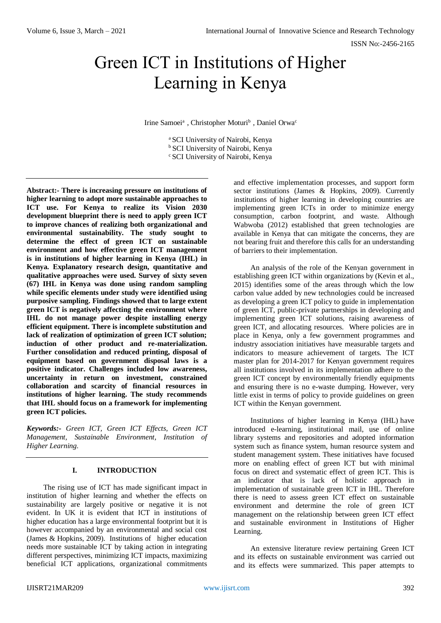# Green ICT in Institutions of Higher Learning in Kenya

Irine Samoei<sup>a</sup>, Christopher Moturi<sup>b</sup>, Daniel Orwa<sup>c</sup>

<sup>a</sup> SCI University of Nairobi, Kenya <sup>b</sup> SCI University of Nairobi, Kenya <sup>c</sup> SCI University of Nairobi, Kenya

**Abstract:- There is increasing pressure on institutions of higher learning to adopt more sustainable approaches to ICT use. For Kenya to realize its Vision 2030 development blueprint there is need to apply green ICT to improve chances of realizing both organizational and environmental sustainability. The study sought to determine the effect of green ICT on sustainable environment and how effective green ICT management is in institutions of higher learning in Kenya (IHL) in Kenya. Explanatory research design, quantitative and qualitative approaches were used. Survey of sixty seven (67) IHL in Kenya was done using random sampling while specific elements under study were identified using purposive sampling. Findings showed that to large extent green ICT is negatively affecting the environment where IHL do not manage power despite installing energy efficient equipment. There is incomplete substitution and lack of realization of optimization of green ICT solution; induction of other product and re-materialization. Further consolidation and reduced printing, disposal of equipment based on government disposal laws is a positive indicator. Challenges included low awareness, uncertainty in return on investment, constrained collaboration and scarcity of financial resources in institutions of higher learning. The study recommends that IHL should focus on a framework for implementing green ICT policies.**

*Keywords:- Green ICT, Green ICT Effects, Green ICT Management, Sustainable Environment, Institution of Higher Learning.*

# **I. INTRODUCTION**

The rising use of ICT has made significant impact in institution of higher learning and whether the effects on sustainability are largely positive or negative it is not evident. In UK it is evident that ICT in institutions of higher education has a large environmental footprint but it is however accompanied by an environmental and social cost (James & Hopkins, 2009). Institutions of higher education needs more sustainable ICT by taking action in integrating different perspectives, minimizing ICT impacts, maximizing beneficial ICT applications, organizational commitments

and effective implementation processes, and support form sector institutions (James & Hopkins, 2009). Currently institutions of higher learning in developing countries are implementing green ICTs in order to minimize energy consumption, carbon footprint, and waste. Although Wabwoba (2012) established that green technologies are available in Kenya that can mitigate the concerns, they are not bearing fruit and therefore this calls for an understanding of barriers to their implementation.

An analysis of the role of the Kenyan government in establishing green ICT within organizations by (Kevin et al., 2015) identifies some of the areas through which the low carbon value added by new technologies could be increased as developing a green ICT policy to guide in implementation of green ICT, public-private partnerships in developing and implementing green ICT solutions, raising awareness of green ICT, and allocating resources. Where policies are in place in Kenya, only a few government programmes and industry association initiatives have measurable targets and indicators to measure achievement of targets. The ICT master plan for 2014-2017 for Kenyan government requires all institutions involved in its implementation adhere to the green ICT concept by environmentally friendly equipments and ensuring there is no e-waste dumping. However, very little exist in terms of policy to provide guidelines on green ICT within the Kenyan government.

Institutions of higher learning in Kenya (IHL) have introduced e-learning, institutional mail, use of online library systems and repositories and adopted information system such as finance system, human resource system and student management system. These initiatives have focused more on enabling effect of green ICT but with minimal focus on direct and systematic effect of green ICT. This is an indicator that is lack of holistic approach in implementation of sustainable green ICT in IHL. Therefore there is need to assess green ICT effect on sustainable environment and determine the role of green ICT management on the relationship between green ICT effect and sustainable environment in Institutions of Higher Learning.

An extensive literature review pertaining Green ICT and its effects on sustainable environment was carried out and its effects were summarized. This paper attempts to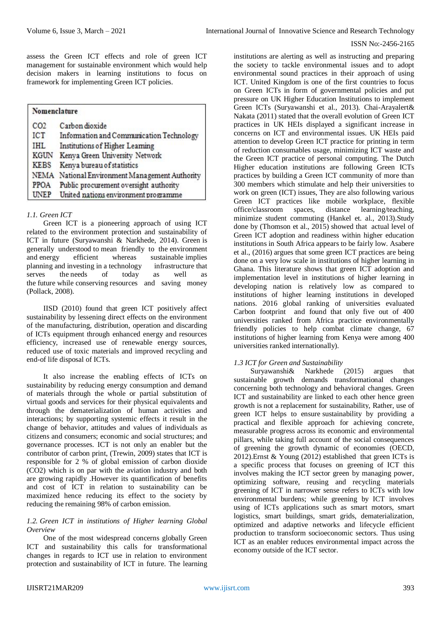assess the Green ICT effects and role of green ICT management for sustainable environment which would help decision makers in learning institutions to focus on framework for implementing Green ICT policies.

| Nomenclature    |                                                |  |  |
|-----------------|------------------------------------------------|--|--|
| CO <sub>2</sub> | Carbon dioxide                                 |  |  |
| <b>ICT</b>      | Information and Communication Technology       |  |  |
| <b>IHL</b>      | Institutions of Higher Learning                |  |  |
| <b>KGUN</b>     | Kenya Green University Network                 |  |  |
| <b>KEBS</b>     | Kenya bureau of statistics                     |  |  |
|                 | NEMA National Environment Management Authority |  |  |
| <b>PPOA</b>     | Public procurement oversight authority         |  |  |
| UNEP            | United nations environment programme           |  |  |

# *1.1. Green ICT*

Green ICT is a pioneering approach of using ICT related to the environment protection and sustainability of ICT in future (Suryawanshi & Narkhede, 2014). Green is generally understood to mean friendly to the environment and energy efficient whereas sustainable implies planning and investing in a technology infrastructure that serves the needs of today as well as the future while conserving resources and saving money (Pollack, 2008).

IISD (2010) found that green ICT positively affect sustainability by lessening direct effects on the environment of the manufacturing, distribution, operation and discarding of ICTs equipment through enhanced energy and resources efficiency, increased use of renewable energy sources, reduced use of toxic materials and improved recycling and end-of life disposal of ICTs.

It also increase the enabling effects of ICTs on sustainability by reducing energy consumption and demand of materials through the whole or partial substitution of virtual goods and services for their physical equivalents and through the dematerialization of human activities and interactions; by supporting systemic effects it result in the change of behavior, attitudes and values of individuals as citizens and consumers; economic and social structures; and governance processes. ICT is not only an enabler but the contributor of carbon print, (Trewin, 2009) states that ICT is responsible for 2 % of global emission of carbon dioxide (CO2) which is on par with the aviation industry and both are growing rapidly .However its quantification of benefits and cost of ICT in relation to sustainability can be maximized hence reducing its effect to the society by reducing the remaining 98% of carbon emission.

# *1.2. Green ICT in institutions of Higher learning Global Overview*

One of the most widespread concerns globally Green ICT and sustainability this calls for transformational changes in regards to ICT use in relation to environment protection and sustainability of ICT in future. The learning

institutions are alerting as well as instructing and preparing the society to tackle environmental issues and to adopt environmental sound practices in their approach of using ICT. United Kingdom is one of the first countries to focus on Green ICTs in form of governmental policies and put pressure on UK Higher Education Institutions to implement Green ICTs (Suryawanshi et al., 2013). Chai-Arayalert& Nakata (2011) stated that the overall evolution of Green ICT practices in UK HEIs displayed a significant increase in concerns on ICT and environmental issues. UK HEIs paid attention to develop Green ICT practice for printing in term of reduction consumables usage, minimizing ICT waste and the Green ICT practice of personal computing. The Dutch Higher education institutions are following Green ICTs practices by building a Green ICT community of more than 300 members which stimulate and help their universities to work on green (ICT) issues, They are also following various Green ICT practices like mobile workplace, flexible office/classroom spaces, distance learning/teaching, minimize student commuting (Hankel et. al., 2013).Study done by (Thomson et al., 2015) showed that actual level of Green ICT adoption and readiness within higher education institutions in South Africa appears to be fairly low. Asabere et al., (2016) argues that some green ICT practices are being done on a very low scale in institutions of higher learning in Ghana. This literature shows that green ICT adoption and implementation level in institutions of higher learning in developing nation is relatively low as compared to institutions of higher learning institutions in developed nations. 2016 global ranking of universities evaluated Carbon footprint and found that only five out of 400 universities ranked from Africa practice environmentally friendly policies to help combat climate change, 67 institutions of higher learning from Kenya were among 400 universities ranked internationally).

# *1.3 ICT for Green and Sustainability*

Suryawanshi& Narkhede (2015) argues that sustainable growth demands transformational changes concerning both technology and behavioral changes. Green ICT and sustainability are linked to each other hence green growth is not a replacement for sustainability, Rather, use of green ICT helps to ensure sustainability by providing a practical and flexible approach for achieving concrete, measurable progress across its economic and environmental pillars, while taking full account of the social consequences of greening the growth dynamic of economies (OECD, 2012).Ernst & Young (2012) established that green ICTs is a specific process that focuses on greening of ICT this involves making the ICT sector green by managing power, optimizing software, reusing and recycling materials greening of ICT in narrower sense refers to ICTs with low environmental burdens; while greening by ICT involves using of ICTs applications such as smart motors, smart logistics, smart buildings, smart grids, dematerialization, optimized and adaptive networks and lifecycle efficient production to transform socioeconomic sectors. Thus using ICT as an enabler reduces environmental impact across the economy outside of the ICT sector.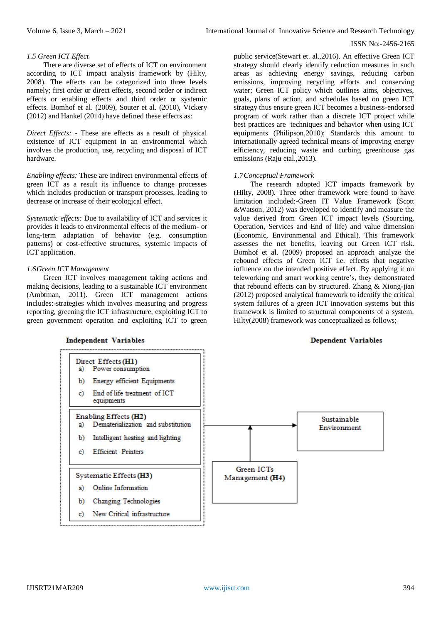## *1.5 Green ICT Effect*

There are diverse set of effects of ICT on environment according to ICT impact analysis framework by (Hilty, 2008). The effects can be categorized into three levels namely; first order or direct effects, second order or indirect effects or enabling effects and third order or systemic effects. Bomhof et al. (2009), Souter et al. (2010), Vickery (2012) and Hankel (2014) have defined these effects as:

*Direct Effects: -* These are effects as a result of physical existence of ICT equipment in an environmental which involves the production, use, recycling and disposal of ICT hardware.

*Enabling effects:* These are indirect environmental effects of green ICT as a result its influence to change processes which includes production or transport processes, leading to decrease or increase of their ecological effect.

*Systematic effects:* Due to availability of ICT and services it provides it leads to environmental effects of the medium- or long-term adaptation of behavior (e.g. consumption patterns) or cost-effective structures, systemic impacts of ICT application.

## *1.6Green ICT Management*

Green ICT involves management taking actions and making decisions, leading to a sustainable ICT environment (Ambtman, 2011). Green ICT management actions includes:-strategies which involves measuring and progress reporting, greening the ICT infrastructure, exploiting ICT to green government operation and exploiting ICT to green

**Independent Variables** 

public service(Stewart et. al.,2016). An effective Green ICT strategy should clearly identify reduction measures in such areas as achieving energy savings, reducing carbon emissions, improving recycling efforts and conserving water; Green ICT policy which outlines aims, objectives, goals, plans of action, and schedules based on green ICT strategy thus ensure green ICT becomes a business-endorsed program of work rather than a discrete ICT project while best practices are techniques and behavior when using ICT equipments (Philipson,2010); Standards this amount to internationally agreed technical means of improving energy efficiency, reducing waste and curbing greenhouse gas emissions (Raju etal., 2013).

## *1.7Conceptual Framework*

The research adopted ICT impacts framework by (Hilty, 2008). Three other framework were found to have limitation included:-Green IT Value Framework (Scott &Watson, 2012) was developed to identify and measure the value derived from Green ICT impact levels (Sourcing, Operation, Services and End of life) and value dimension (Economic, Environmental and Ethical). This framework assesses the net benefits, leaving out Green ICT risk. Bomhof et al. (2009) proposed an approach analyze the rebound effects of Green ICT i.e. effects that negative influence on the intended positive effect. By applying it on teleworking and smart working centre's, they demonstrated that rebound effects can by structured. Zhang & Xiong-jian (2012) proposed analytical framework to identify the critical system failures of a green ICT innovation systems but this framework is limited to structural components of a system. Hilty(2008) framework was conceptualized as follows;

## **Dependent Variables**

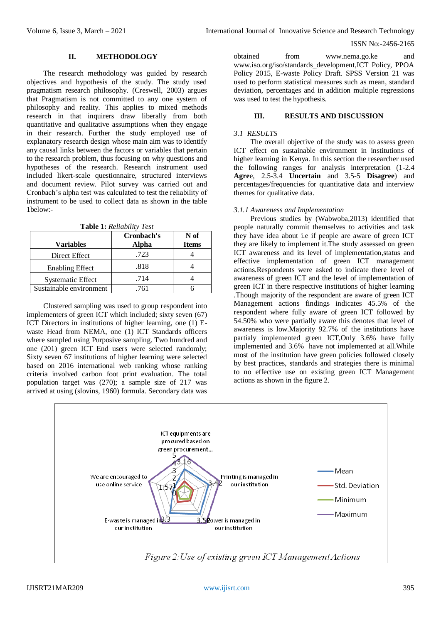## **II. METHODOLOGY**

The research methodology was guided by research objectives and hypothesis of the study. The study used pragmatism research philosophy. (Creswell, 2003) argues that Pragmatism is not committed to any one system of philosophy and reality. This applies to mixed methods research in that inquirers draw liberally from both quantitative and qualitative assumptions when they engage in their research. Further the study employed use of explanatory research design whose main aim was to identify any causal links between the factors or variables that pertain to the research problem, thus focusing on why questions and hypotheses of the research. Research instrument used included likert-scale questionnaire, structured interviews and document review. Pilot survey was carried out and Cronbach's alpha test was calculated to test the reliability of instrument to be used to collect data as shown in the table 1below:-

**Table 1:** *Reliability Test*

| <b>Variables</b>         | Cronbach's<br>Alpha | N of<br><b>Items</b> |
|--------------------------|---------------------|----------------------|
| Direct Effect            | .723                |                      |
| <b>Enabling Effect</b>   | .818                |                      |
| <b>Systematic Effect</b> | .714                |                      |
| Sustainable environment  | 761                 |                      |

Clustered sampling was used to group respondent into implementers of green ICT which included; sixty seven (67) ICT Directors in institutions of higher learning, one (1) Ewaste Head from NEMA, one (1) ICT Standards officers where sampled using Purposive sampling. Two hundred and one (201) green ICT End users were selected randomly; Sixty seven 67 institutions of higher learning were selected based on 2016 international web ranking whose ranking criteria involved carbon foot print evaluation. The total population target was (270); a sample size of 217 was arrived at using (slovins, 1960) formula. Secondary data was obtained from [www.nema.go.ke](http://www.nema.go.ke/) and [www.iso.org/iso/standards\\_development,ICT](http://www.iso.org/iso/standards_development,ICT) Policy, PPOA Policy 2015, E-waste Policy Draft. SPSS Version 21 was used to perform statistical measures such as mean, standard deviation, percentages and in addition multiple regressions was used to test the hypothesis.

## **III. RESULTS AND DISCUSSION**

#### *3.1 RESULTS*

The overall objective of the study was to assess green ICT effect on sustainable environment in institutions of higher learning in Kenya. In this section the researcher used the following ranges for analysis interpretation (1-2.4 **Agre**e, 2.5-3.4 **Uncertain** and 3.5-5 **Disagree**) and percentages/frequencies for quantitative data and interview themes for qualitative data.

## *3.1.1 Awareness and Implementation*

Previous studies by (Wabwoba,2013) identified that people naturally commit themselves to activities and task they have idea about i.e if people are aware of green ICT they are likely to implement it.The study assessed on green ICT awareness and its level of implementation,status and effective implementation of green ICT management actions.Respondents were asked to indicate there level of awareness of green ICT and the level of implementation of green ICT in there respective institutions of higher learning .Though majority of the respondent are aware of green ICT Management actions findings indicates 45.5% of the respondent where fully aware of green ICT followed by 54.50% who were partially aware this denotes that level of awareness is low.Majority 92.7% of the institutions have partialy implemented green ICT,Only 3.6% have fully implemented and 3.6% have not implemented at all.While most of the institution have green policies followed closely by best practices, standards and strategies there is minimal to no effective use on existing green ICT Management actions as shown in the figure 2.

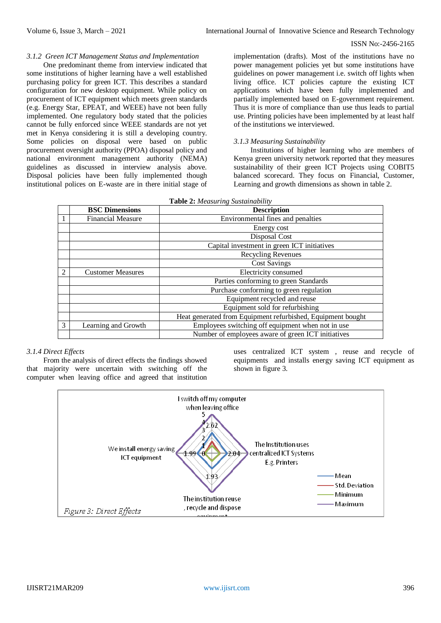## *3.1.2 Green ICT Management Status and Implementation*

One predominant theme from interview indicated that some institutions of higher learning have a well established purchasing policy for green ICT. This describes a standard configuration for new desktop equipment. While policy on procurement of ICT equipment which meets green standards (e.g. Energy Star, EPEAT, and WEEE) have not been fully implemented. One regulatory body stated that the policies cannot be fully enforced since WEEE standards are not yet met in Kenya considering it is still a developing country. Some policies on disposal were based on public procurement oversight authority (PPOA) disposal policy and national environment management authority (NEMA) guidelines as discussed in interview analysis above. Disposal policies have been fully implemented though institutional polices on E-waste are in there initial stage of

implementation (drafts). Most of the institutions have no power management policies yet but some institutions have guidelines on power management i.e. switch off lights when living office. ICT policies capture the existing ICT applications which have been fully implemented and partially implemented based on E-government requirement. Thus it is more of compliance than use thus leads to partial use. Printing policies have been implemented by at least half of the institutions we interviewed.

# *3.1.3 Measuring Sustainability*

Institutions of higher learning who are members of Kenya green university network reported that they measures sustainability of their green ICT Projects using COBIT5 balanced scorecard. They focus on Financial, Customer, Learning and growth dimensions as shown in table 2.

| Table 2: Measuring Sustainability |  |  |  |  |  |  |
|-----------------------------------|--|--|--|--|--|--|
|-----------------------------------|--|--|--|--|--|--|

|               | <b>BSC Dimensions</b>    | <b>Description</b>                                          |  |  |
|---------------|--------------------------|-------------------------------------------------------------|--|--|
|               | <b>Financial Measure</b> | Environmental fines and penalties                           |  |  |
|               |                          | Energy cost                                                 |  |  |
|               |                          | Disposal Cost                                               |  |  |
|               |                          | Capital investment in green ICT initiatives                 |  |  |
|               |                          | Recycling Revenues                                          |  |  |
|               |                          | <b>Cost Savings</b>                                         |  |  |
| $\mathcal{D}$ | <b>Customer Measures</b> | Electricity consumed                                        |  |  |
|               |                          | Parties conforming to green Standards                       |  |  |
|               |                          | Purchase conforming to green regulation                     |  |  |
|               |                          | Equipment recycled and reuse                                |  |  |
|               |                          | Equipment sold for refurbishing                             |  |  |
|               |                          | Heat generated from Equipment refurbished, Equipment bought |  |  |
| 3             | Learning and Growth      | Employees switching off equipment when not in use           |  |  |
|               |                          | Number of employees aware of green ICT initiatives          |  |  |

## *3.1.4 Direct Effects*

From the analysis of direct effects the findings showed that majority were uncertain with switching off the computer when leaving office and agreed that institution uses centralized ICT system , reuse and recycle of equipments and installs energy saving ICT equipment as shown in figure 3.

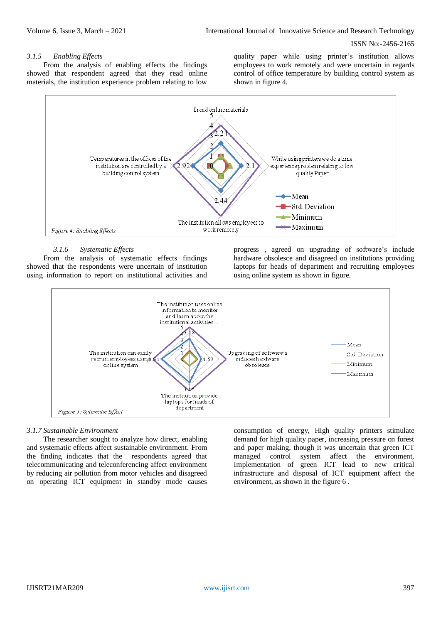#### *3.1.5 Enabling Effects*

From the analysis of enabling effects the findings showed that respondent agreed that they read online materials, the institution experience problem relating to low

quality paper while using printer's institution allows employees to work remotely and were uncertain in regards control of office temperature by building control system as shown in figure 4.



# *3.1.6 Systematic Effects*

From the analysis of systematic effects findings showed that the respondents were uncertain of institution using information to report on institutional activities and

progress , agreed on upgrading of software's include hardware obsolesce and disagreed on institutions providing laptops for heads of department and recruiting employees using online system as shown in figure.



# *3.1.7 Sustainable Environment*

The researcher sought to analyze how direct, enabling and systematic effects affect sustainable environment. From the finding indicates that the respondents agreed that telecommunicating and teleconferencing affect environment by reducing air pollution from motor vehicles and disagreed on operating ICT equipment in standby mode causes

consumption of energy, High quality printers stimulate demand for high quality paper, increasing pressure on forest and paper making, though it was uncertain that green ICT managed control system affect the environment, Implementation of green ICT lead to new critical infrastructure and disposal of ICT equipment affect the environment, as shown in the figure 6 .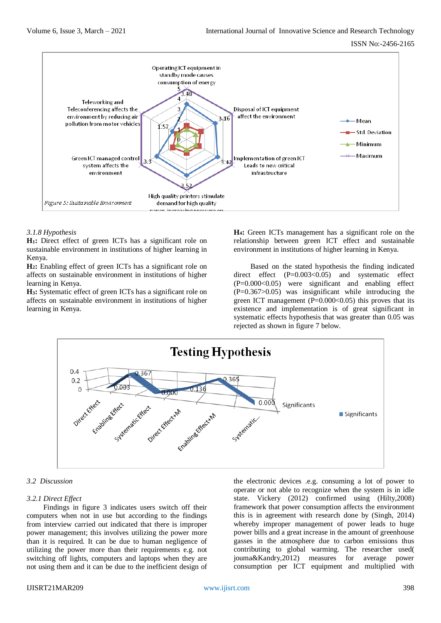

## *3.1.8 Hypothesis*

**H1:** Direct effect of green ICTs has a significant role on sustainable environment in institutions of higher learning in Kenya.

**H2:** Enabling effect of green ICTs has a significant role on affects on sustainable environment in institutions of higher learning in Kenya.

**H3:** Systematic effect of green ICTs has a significant role on affects on sustainable environment in institutions of higher learning in Kenya.

**H4:** Green ICTs management has a significant role on the relationship between green ICT effect and sustainable environment in institutions of higher learning in Kenya.

Based on the stated hypothesis the finding indicated direct effect (P=0.003<0.05) and systematic effect  $(P=0.000<0.05)$  were significant and enabling effect (P=0.367>0.05) was insignificant while introducing the green ICT management  $(P=0.000<0.05)$  this proves that its existence and implementation is of great significant in systematic effects hypothesis that was greater than 0.05 was rejected as shown in figure 7 below.



# *3.2 Discussion*

#### *3.2.1 Direct Effect*

Findings in figure 3 indicates users switch off their computers when not in use but according to the findings from interview carried out indicated that there is improper power management; this involves utilizing the power more than it is required. It can be due to human negligence of utilizing the power more than their requirements e.g. not switching off lights, computers and laptops when they are not using them and it can be due to the inefficient design of the electronic devices .e.g. consuming a lot of power to operate or not able to recognize when the system is in idle state. Vickery (2012) confirmed using (Hilty,2008) framework that power consumption affects the environment this is in agreement with research done by (Singh, 2014) whereby improper management of power leads to huge power bills and a great increase in the amount of greenhouse gasses in the atmosphere due to carbon emissions thus contributing to global warming. The researcher used( jouma&Kandry,2012) measures for average power consumption per ICT equipment and multiplied with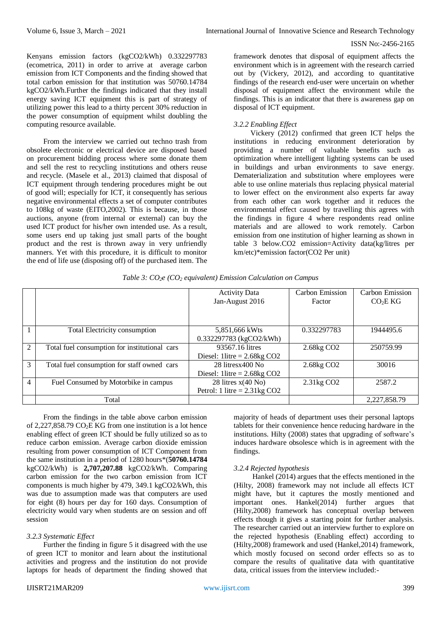Kenyans emission factors (kgCO2/kWh) 0.332297783 (ecometrica, 2011) in order to arrive at average carbon emission from ICT Components and the finding showed that total carbon emission for that institution was 50760.14784 kgCO2/kWh.Further the findings indicated that they install energy saving ICT equipment this is part of strategy of utilizing power this lead to a thirty percent 30% reduction in the power consumption of equipment whilst doubling the computing resource available.

From the interview we carried out techno trash from obsolete electronic or electrical device are disposed based on procurement bidding process where some donate them and sell the rest to recycling institutions and others reuse and recycle. (Masele et al., 2013) claimed that disposal of ICT equipment through tendering procedures might be out of good will; especially for ICT, it consequently has serious negative environmental effects a set of computer contributes to 108kg of waste (EITO,2002). This is because, in those auctions, anyone (from internal or external) can buy the used ICT product for his/her own intended use. As a result, some users end up taking just small parts of the bought product and the rest is thrown away in very unfriendly manners. Yet with this procedure, it is difficult to monitor the end of life use (disposing off) of the purchased item. The framework denotes that disposal of equipment affects the environment which is in agreement with the research carried out by (Vickery, 2012), and according to quantitative findings of the research end-user were uncertain on whether disposal of equipment affect the environment while the findings. This is an indicator that there is awareness gap on disposal of ICT equipment.

# *3.2.2 Enabling Effect*

Vickery (2012) confirmed that green ICT helps the institutions in reducing environment deterioration by providing a number of valuable benefits such as optimization where intelligent lighting systems can be used in buildings and urban environments to save energy. Dematerialization and substitution where employees were able to use online materials thus replacing physical material to lower effect on the environment also experts far away from each other can work together and it reduces the environmental effect caused by travelling this agrees with the findings in figure 4 where respondents read online materials and are allowed to work remotely. Carbon emission from one institution of higher learning as shown in table 3 below.CO2 emission=Activity data(kg/litres per km/etc)\*emission factor(CO2 Per unit)

|                |                                               | <b>Activity Data</b>                                       | Carbon Emission        | Carbon Emission     |
|----------------|-----------------------------------------------|------------------------------------------------------------|------------------------|---------------------|
|                |                                               | Jan-August 2016                                            | Factor                 | CO <sub>2</sub> EKG |
|                |                                               |                                                            |                        |                     |
|                |                                               |                                                            |                        |                     |
|                | Total Electricity consumption                 | 5,851,666 kWts                                             | 0.332297783            | 1944495.6           |
|                |                                               | 0.332297783 (kgCO2/kWh)                                    |                        |                     |
| $\mathfrak{D}$ | Total fuel consumption for institutional cars | 93567.16 litres                                            | 2.68kg CO <sub>2</sub> | 250759.99           |
|                |                                               | Diesel: 1 $\text{litre} = 2.68 \text{kg} \cdot \text{CO2}$ |                        |                     |
| 3              | Total fuel consumption for staff owned cars   | 28 litresx400 No                                           | 2.68kg CO <sub>2</sub> | 30016               |
|                |                                               | Diesel: 1 litre = $2.68$ kg CO2                            |                        |                     |
| 4              | Fuel Consumed by Motorbike in campus          | 28 litres $x(40 \text{ No})$                               | 2.31kg CO <sub>2</sub> | 2587.2              |
|                |                                               | Petrol: 1 litre = $2.31\text{kg CO2}$                      |                        |                     |
|                | Total                                         |                                                            |                        | 2,227,858.79        |

*Table 3: CO2e (CO<sup>2</sup> equivalent) Emission Calculation on Campus*

From the findings in the table above carbon emission of 2,227,858.79  $CO<sub>2</sub>E$  KG from one institution is a lot hence enabling effect of green ICT should be fully utilized so as to reduce carbon emission. Average carbon dioxide emission resulting from power consumption of ICT Component from the same institution in a period of 1280 hours\*(**50760.14784** kgCO2/kWh) is **2,707,207.88** kgCO2/kWh. Comparing carbon emission for the two carbon emission from ICT components is much higher by 479, 349.1 kgCO2/kWh, this was due to assumption made was that computers are used for eight (8) hours per day for 160 days. Consumption of electricity would vary when students are on session and off session

# *3.2.3 Systematic Effect*

Further the finding in figure 5 it disagreed with the use of green ICT to monitor and learn about the institutional activities and progress and the institution do not provide laptops for heads of department the finding showed that

majority of heads of department uses their personal laptops tablets for their convenience hence reducing hardware in the institutions. Hilty (2008) states that upgrading of software's induces hardware obsolesce which is in agreement with the findings.

# *3.2.4 Rejected hypothesis*

Hankel (2014) argues that the effects mentioned in the (Hilty, 2008) framework may not include all effects ICT might have, but it captures the mostly mentioned and important ones. Hankel(2014) further argues that (Hilty,2008) framework has conceptual overlap between effects though it gives a starting point for further analysis. The researcher carried out an interview further to explore on the rejected hypothesis (Enabling effect) according to (Hilty,2008) framework and used (Hankel,2014) framework, which mostly focused on second order effects so as to compare the results of qualitative data with quantitative data, critical issues from the interview included:-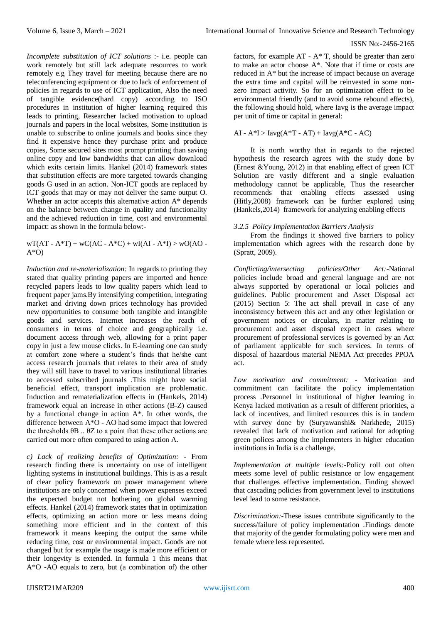*Incomplete substitution of ICT solutions* :- i.e. people can work remotely but still lack adequate resources to work remotely e.g They travel for meeting because there are no teleconferencing equipment or due to lack of enforcement of policies in regards to use of ICT application, Also the need of tangible evidence(hard copy) according to ISO procedures in institution of higher learning required this leads to printing, Researcher lacked motivation to upload journals and papers in the local websites, Some institution is unable to subscribe to online journals and books since they find it expensive hence they purchase print and produce copies, Some secured sites most prompt printing than saving online copy and low bandwidths that can allow download which exits certain limits. Hankel (2014) framework states that substitution effects are more targeted towards changing goods G used in an action. Non-ICT goods are replaced by ICT goods that may or may not deliver the same output O. Whether an actor accepts this alternative action A\* depends on the balance between change in quality and functionality and the achieved reduction in time, cost and environmental impact: as shown in the formula below:-

 $wT(AT - A*T) + wC(AC - A*C) + wI(AI - A*T) > wO(AO A^*O$ 

*Induction and re-materialization:* In regards to printing they stated that quality printing papers are imported and hence recycled papers leads to low quality papers which lead to frequent paper jams.By intensifying competition, integrating market and driving down prices technology has provided new opportunities to consume both tangible and intangible goods and services. Internet increases the reach of consumers in terms of choice and geographically i.e. document access through web, allowing for a print paper copy in just a few mouse clicks. In E-learning one can study at comfort zone where a student's finds that he/she cant access research journals that relates to their area of study they will still have to travel to various institutional libraries to accessed subscribed journals .This might have social beneficial effect, transport implication are problematic. Induction and rematerialization effects in (Hankels, 2014) framework equal an increase in other actions (B-Z) caused by a functional change in action A\*. In other words, the difference between A\*O - AO had some impact that lowered the thresholds θB .. θZ to a point that these other actions are carried out more often compared to using action A.

*c) Lack of realizing benefits of Optimization: -* From research finding there is uncertainty on use of intelligent lighting systems in institutional buildings. This is as a result of clear policy framework on power management where institutions are only concerned when power expenses exceed the expected budget not bothering on global warming effects. Hankel (2014) framework states that in optimization effects, optimizing an action more or less means doing something more efficient and in the context of this framework it means keeping the output the same while reducing time, cost or environmental impact. Goods are not changed but for example the usage is made more efficient or their longevity is extended. In formula 1 this means that A\*O -AO equals to zero, but (a combination of) the other

factors, for example  $AT - A^*T$ , should be greater than zero to make an actor choose A\*. Note that if time or costs are reduced in A\* but the increase of impact because on average the extra time and capital will be reinvested in some nonzero impact activity. So for an optimization effect to be environmental friendly (and to avoid some rebound effects), the following should hold, where Iavg is the average impact per unit of time or capital in general:

$$
AI - A^*I > \text{layg}(A^*T - AT) + \text{layg}(A^*C - AC)
$$

It is north worthy that in regards to the rejected hypothesis the research agrees with the study done by (Ernest &Young, 2012) in that enabling effect of green ICT Solution are vastly different and a single evaluation methodology cannot be applicable, Thus the researcher recommends that enabling effects assessed using (Hitly,2008) framework can be further explored using (Hankels,2014) framework for analyzing enabling effects

# *3.2.5 Policy Implementation Barriers Analysis*

From the findings it showed five barriers to policy implementation which agrees with the research done by (Spratt, 2009).

*Conflicting/intersecting policies/Other Act:-*National policies include broad and general language and are not always supported by operational or local policies and guidelines. Public procurement and Asset Disposal act (2015) Section 5: The act shall prevail in case of any inconsistency between this act and any other legislation or government notices or circulars, in matter relating to procurement and asset disposal expect in cases where procurement of professional services is governed by an Act of parliament applicable for such services. In terms of disposal of hazardous material NEMA Act precedes PPOA act.

*Low motivation and commitment: -* Motivation and commitment can facilitate the policy implementation process .Personnel in institutional of higher learning in Kenya lacked motivation as a result of different priorities, a lack of incentives, and limited resources this is in tandem with survey done by (Suryawanshi& Narkhede, 2015) revealed that lack of motivation and rational for adopting green polices among the implementers in higher education institutions in India is a challenge.

*Implementation at multiple levels:-*Policy roll out often meets some level of public resistance or low engagement that challenges effective implementation. Finding showed that cascading policies from government level to institutions level lead to some resistance.

*Discrimination:-*These issues contribute significantly to the success/failure of policy implementation .Findings denote that majority of the gender formulating policy were men and female where less represented.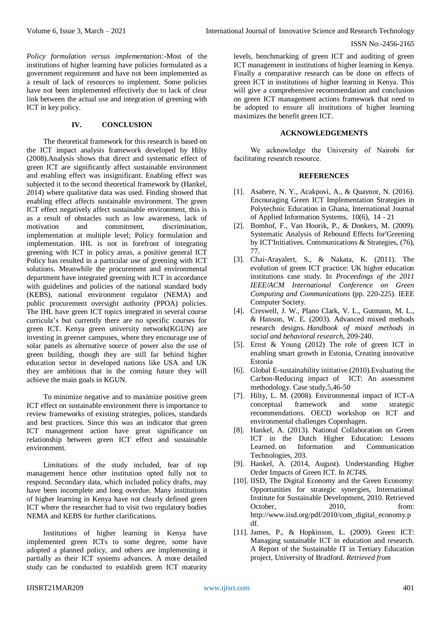*Policy formulation versus implementation:-*Most of the institutions of higher learning have policies formulated as a government requirement and have not been implemented as a result of lack of resources to implement. Some policies have not been implemented effectively due to lack of clear link between the actual use and integration of greening with ICT in key policy.

# **IV. CONCLUSION**

The theoretical framework for this research is based on the ICT impact analysis framework developed by Hilty (2008).Analysis shows that direct and systematic effect of green ICT are significantly affect sustainable environment and enabling effect was insignificant. Enabling effect was subjected it to the second theoretical framework by (Hankel, 2014) where qualitative data was used. Finding showed that enabling effect affects sustainable environment. The green ICT effect negatively affect sustainable environment, this is as a result of obstacles such as low awareness, lack of motivation and commitment, discrimination, implementation at multiple level; Policy formulation and implementation. IHL is not in forefront of integrating greening with ICT in policy areas, a positive general ICT Policy has resulted in a particular use of greening with ICT solutions. Meanwhile the procurement and environmental department have integrated greening with ICT in accordance with guidelines and policies of the national standard body (KEBS), national environment regulator (NEMA) and public procurement oversight authority (PPOA) policies. The IHL have green ICT topics integrated in several course curricula's but currently there are no specific courses for green ICT. Kenya green university network(KGUN) are investing in greener campuses, where they encourage use of solar panels as alternative source of power also the use of green building, though they are still far behind higher education sector in developed nations like USA and UK they are ambitious that in the coming future they will achieve the main goals in KGUN.

To minimize negative and to maximize positive green ICT effect on sustainable environment there is importance to review frameworks of existing strategies, polices, standards and best practices. Since this was an indicator that green ICT management action have great significance on relationship between green ICT effect and sustainable environment.

Limitations of the study included, fear of top management hence other institution opted fully not to respond. Secondary data, which included policy drafts, may have been incomplete and long overdue. Many institutions of higher learning in Kenya have not clearly defined green ICT where the researcher had to visit two regulatory bodies NEMA and KEBS for further clarifications.

Institutions of higher learning in Kenya have implemented green ICTs to some degree, some have adopted a planned policy, and others are implementing it partially as their ICT systems advances. A more detailed study can be conducted to establish green ICT maturity

levels, benchmarking of green ICT and auditing of green ICT management in institutions of higher learning in Kenya. Finally a comparative research can be done on effects of green ICT in institutions of higher learning in Kenya. This will give a comprehensive recommendation and conclusion on green ICT management actions framework that need to be adopted to ensure all institutions of higher learning maximizes the benefit green ICT.

# **ACKNOWLEDGEMENTS**

We acknowledge the University of Nairobi for facilitating research resource.

## **REFERENCES**

- [1]. Asabere, N. Y., Acakpovi, A., & Quaynor, N. (2016). Encouraging Green ICT Implementation Strategies in Polytechnic Education in Ghana, International Journal of Applied Information Systems, 10(6), 14 - 21
- [2]. Bomhof, F., Van Hoorik, P., & Donkers, M. (2009). Systematic Analysis of Rebound Effects for'Greening by ICT'Initiatives. Communications & Strategies, (76), 77.
- [3]. Chai-Arayalert, S., & Nakata, K. (2011). The evolution of green ICT practice: UK higher education institutions case study. In *Proceedings of the 2011 IEEE/ACM International Conference on Green Computing and Communications* (pp. 220-225). IEEE Computer Society.
- [4]. Creswell, J. W., Plano Clark, V. L., Gutmann, M. L., & Hanson, W. E. (2003). Advanced mixed methods research designs. *Handbook of mixed methods in social and behavioral research*, 209-240.
- [5]. Ernst & Young (2012) The role of green ICT in enabling smart growth in Estonia, Creating innovative Estonia
- [6]. Global E-sustainability initiative.(2010).Evaluating the Carbon-Reducing impact of ICT: An assessment methodology. Case study,5,46-50
- [7]. Hilty, L. M. (2008). Environmental impact of ICT-A conceptual framework and some strategic recommendations. OECD workshop on ICT and environmental challenges Copenhagen.
- [8]. Hankel, A. (2013). National Collaboration on Green ICT in the Dutch Higher Education: Lessons Learned. on Information and Communication Technologies, 203.
- [9]. Hankel, A. (2014, August). Understanding Higher Order Impacts of Green ICT. In *ICT4S*.
- [10]. IISD, The Digital Economy and the Green Economy: Opportunities for strategic synergies, International Institute for Sustainable Development, 2010. Retrieved October, 2010, from: [http://www.iisd.org/pdf/2010/com\\_digital\\_economy.p](http://www.iisd.org/pdf/2010/com_digital_economy.pdf) [df.](http://www.iisd.org/pdf/2010/com_digital_economy.pdf)
- [11]. James, P., & Hopkinson, L. (2009). Green ICT: Managing sustainable ICT in education and research. A Report of the Sustainable IT in Tertiary Education project, University of Bradford. *Retrieved from*